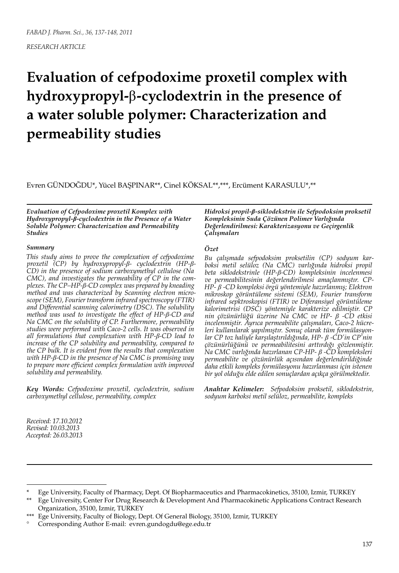# **Evaluation of cefpodoxime proxetil complex with hydroxypropyl-**β**-cyclodextrin in the presence of a water soluble polymer: Characterization and permeability studies**

Evren GÜNDOĞDU\*, Yücel BAŞPINAR\*\*, Cinel KÖKSAL\*\*,\*\*\*, Ercüment KARASULU\*,\*\*

*Evaluation of Cefpodoxime proxetil Komplex with Hydroxypropyl-β-cyclodextrin in the Presence of a Water Soluble Polymer: Characterization and Permeability Studies*

#### *Summary*

*This study aims to prove the complexation of cefpodoxime proxetil (CP) by hydroxypropyl-β- cyclodextrin (HP-β-CD) in the presence of sodium carboxymethyl cellulose (Na CMC), and investigates the permeability of CP in the complexes. The CP–HP-β-CD complex was prepared by kneading method and was characterized by Scanning electron microscope (SEM), Fourier transform infrared spectroscopy (FTIR) and Differential scanning calorimetry (DSC). The solubility method was used to investigate the effect of HP-β-CD and Na CMC on the solubility of CP. Furthermore, permeability studies were performed with Caco-2 cells. It was observed in all formulations that complexation with HP-β-CD lead to increase of the CP solubility and permeability, compared to the CP bulk. It is evident from the results that complexation with HP-β-CD in the presence of Na CMC is promising way to prepare more efficient complex formulation with improved solubility and permeability.*

*Key Words: Cefpodoxime proxetil, cyclodextrin, sodium carboxymethyl cellulose, permeability, complex*

*Hidroksi propil-β-siklodekstrin ile Sefpodoksim proksetil Kompleksinin Suda Çözünen Polimer Varlığında Değerlendirilmesi: Karakterizasyonu ve Geçirgenlik Çalışmaları*

#### *Özet*

*Bu çalışmada sefpodoksim proksetilin (CP) sodyum karboksi metil selüloz (Na CMC) varlığında hidroksi propil beta siklodekstrinle (HP-β-CD) kompleksinin incelenmesi ve permeabilitesinin değerlendirilmesi amaçlanmıştır. CP-HP- β -CD kompleksi örgü yöntemiyle hazırlanmış; Elektron mikroskop görüntüleme sistemi (SEM), Fourier transform infrared sepktroskopisi (FTIR) ve Diferansiyel görüntüleme kalorimetrisi (DSC) yöntemiyle karakterize edilmiştir. CP nin çözünürlüğü üzerine Na CMC ve HP- β -CD etkisi incelenmiştir. Ayrıca permeabilite çalışmaları, Caco-2 hücreleri kullanılarak yapılmıştır. Sonuç olarak tüm formülasyonlar CP toz haliyle karşılaştırıldığında, HP- β -CD'in CP'nin çözünürlüğünü ve permeabilitesini arttırdığı gözlenmiştir. Na CMC varlığında hazırlanan CP-HP- β -CD kompleksleri permeabilite ve çözünürlük açısından değerlendirildiğinde daha etkili kompleks formülasyonu hazırlanması için istenen bir yol olduğu elde edilen sonuçlardan açıkça görülmektedir.*

*Anahtar Kelimeler: Sefpodoksim proksetil, siklodekstrin, sodyum karboksi metil selüloz, permeabilite, kompleks*

*Received: 17.10.2012 Revised: 10.03.2013 Accepted: 26.03.2013*

<sup>\*</sup> Ege University, Faculty of Pharmacy, Dept. Of Biopharmaceutics and Pharmacokinetics, 35100, Izmir, TURKEY

<sup>\*\*</sup> Ege University, Center For Drug Research & Development And Pharmacokinetic Applications Contract Research Organization, 35100, Izmir, TURKEY

<sup>\*\*\*</sup> Ege University, Faculty of Biology, Dept. Of General Biology, 35100, Izmir, TURKEY

<sup>°</sup> Corresponding Author E-mail: evren.gundogdu@ege.edu.tr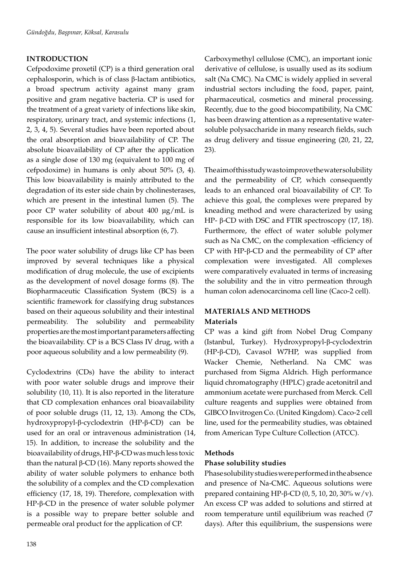## **INTRODUCTION**

Cefpodoxime proxetil (CP) is a third generation oral cephalosporin, which is of class β-lactam antibiotics, a broad spectrum activity against many gram positive and gram negative bacteria. CP is used for the treatment of a great variety of infections like skin, respiratory, urinary tract, and systemic infections (1, 2, 3, 4, 5). Several studies have been reported about the oral absorption and bioavailability of CP. The absolute bioavailability of CP after the application as a single dose of 130 mg (equivalent to 100 mg of cefpodoxime) in humans is only about 50% (3, 4). This low bioavailability is mainly attributed to the degradation of its ester side chain by cholinesterases, which are present in the intestinal lumen (5). The poor CP water solubility of about 400 µg/mL is responsible for its low bioavailability, which can cause an insufficient intestinal absorption (6, 7).

The poor water solubility of drugs like CP has been improved by several techniques like a physical modification of drug molecule, the use of excipients as the development of novel dosage forms (8). The Biopharmaceutic Classification System (BCS) is a scientific framework for classifying drug substances based on their aqueous solubility and their intestinal permeability. The solubility and permeability properties are the most important parameters affecting the bioavailability. CP is a BCS Class IV drug, with a poor aqueous solubility and a low permeability (9).

Cyclodextrins (CDs) have the ability to interact with poor water soluble drugs and improve their solubility (10, 11). It is also reported in the literature that CD complexation enhances oral bioavailability of poor soluble drugs (11, 12, 13). Among the CDs, hydroxypropyl-β-cyclodextrin (HP-β-CD) can be used for an oral or intravenous administration (14, 15). In addition, to increase the solubility and the bioavailability of drugs, HP-β-CD was much less toxic than the natural  $β$ -CD (16). Many reports showed the ability of water soluble polymers to enhance both the solubility of a complex and the CD complexation efficiency (17, 18, 19). Therefore, complexation with HP-β-CD in the presence of water soluble polymer is a possible way to prepare better soluble and permeable oral product for the application of CP.

Carboxymethyl cellulose (CMC), an important ionic derivative of cellulose, is usually used as its sodium salt (Na CMC). Na CMC is widely applied in several industrial sectors including the food, paper, paint, pharmaceutical, cosmetics and mineral processing. Recently, due to the good biocompatibility, Na CMC has been drawing attention as a representative watersoluble polysaccharide in many research fields, such as drug delivery and tissue engineering (20, 21, 22, 23).

The aim of this study was to improve the water solubility and the permeability of CP, which consequently leads to an enhanced oral bioavailability of CP. To achieve this goal, the complexes were prepared by kneading method and were characterized by using HP- β-CD with DSC and FTIR spectroscopy (17, 18). Furthermore, the effect of water soluble polymer such as Na CMC, on the complexation -efficiency of CP with HP-β-CD and the permeability of CP after complexation were investigated. All complexes were comparatively evaluated in terms of increasing the solubility and the in vitro permeation through human colon adenocarcinoma cell line (Caco-2 cell).

## **MATERIALS AND METHODS**

#### **Materials**

CP was a kind gift from Nobel Drug Company (Istanbul, Turkey). Hydroxypropyl-β-cyclodextrin (HP-β-CD), Cavasol W7HP, was supplied from Wacker Chemie, Netherland. Na CMC was purchased from Sigma Aldrich. High performance liquid chromatography (HPLC) grade acetonitril and ammonium acetate were purchased from Merck. Cell culture reagents and supplies were obtained from GIBCO Invitrogen Co. (United Kingdom). Caco-2 cell line, used for the permeability studies, was obtained from American Type Culture Collection (ATCC).

## **Methods**

## **Phase solubility studies**

Phase solubility studies were performed in the absence and presence of Na-CMC. Aqueous solutions were prepared containing HP-β-CD (0, 5, 10, 20, 30% w/v). An excess CP was added to solutions and stirred at room temperature until equilibrium was reached (7 days). After this equilibrium, the suspensions were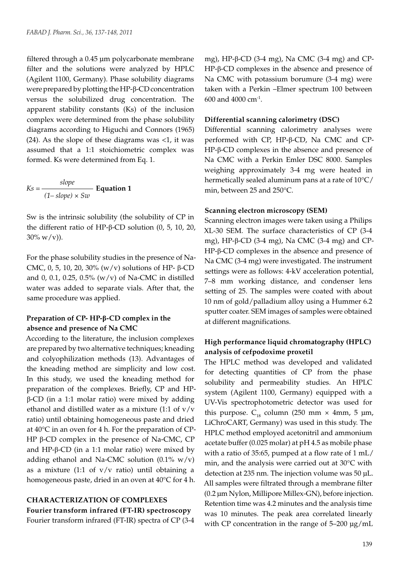filtered through a 0.45 µm polycarbonate membrane filter and the solutions were analyzed by HPLC (Agilent 1100, Germany). Phase solubility diagrams were prepared by plotting the HP-β-CD concentration versus the solubilized drug concentration. The apparent stability constants (Ks) of the inclusion complex were determined from the phase solubility diagrams according to Higuchi and Connors (1965)  $(24)$ . As the slope of these diagrams was <1, it was assumed that a 1:1 stoichiometric complex was formed. Ks were determined from Eq. 1.

$$
Ks = \frac{slope}{(1 - slope) \times Sw}
$$
 Equation 1

Sw is the intrinsic solubility (the solubility of CP in the different ratio of HP-β-CD solution (0, 5, 10, 20,  $30\% \text{ w/v}.$ 

For the phase solubility studies in the presence of Na-CMC, 0, 5, 10, 20, 30% (w/v) solutions of HP- β-CD and 0, 0.1, 0.25, 0.5% (w/v) of Na-CMC in distilled water was added to separate vials. After that, the same procedure was applied.

### **Preparation of CP- HP-β-CD complex in the absence and presence of Na CMC**

According to the literature, the inclusion complexes are prepared by two alternative techniques; kneading and colyophilization methods (13). Advantages of the kneading method are simplicity and low cost. In this study, we used the kneading method for preparation of the complexes. Briefly, CP and HPβ-CD (in a 1:1 molar ratio) were mixed by adding ethanol and distilled water as a mixture (1:1 of  $v/v$ ratio) until obtaining homogeneous paste and dried at 40°C in an oven for 4 h. For the preparation of CP-HP β-CD complex in the presence of Na-CMC, CP and HP-β-CD (in a 1:1 molar ratio) were mixed by adding ethanol and Na-CMC solution (0.1% w/v) as a mixture (1:1 of  $v/v$  ratio) until obtaining a homogeneous paste, dried in an oven at 40°C for 4 h.

## **CHARACTERIZATION OF COMPLEXES Fourier transform infrared (FT-IR) spectroscopy** Fourier transform infrared (FT-IR) spectra of CP (3-4

mg), HP-β-CD (3-4 mg), Na CMC (3-4 mg) and CP-HP-β-CD complexes in the absence and presence of Na CMC with potassium borumure (3-4 mg) were taken with a Perkin –Elmer spectrum 100 between 600 and 4000 cm-1.

#### **Differential scanning calorimetry (DSC)**

Differential scanning calorimetry analyses were performed with CP, HP-β-CD, Na CMC and CP-HP-β-CD complexes in the absence and presence of Na CMC with a Perkin Emler DSC 8000. Samples weighing approximately 3-4 mg were heated in hermetically sealed aluminum pans at a rate of 10°C/ min, between 25 and 250°C.

#### **Scanning electron microscopy (SEM)**

Scanning electron images were taken using a Philips XL-30 SEM. The surface characteristics of CP (3-4 mg), HP-β-CD (3-4 mg), Na CMC (3-4 mg) and CP-HP-β-CD complexes in the absence and presence of Na CMC (3-4 mg) were investigated. The instrument settings were as follows: 4-kV acceleration potential, 7–8 mm working distance, and condenser lens setting of 25. The samples were coated with about 10 nm of gold/palladium alloy using a Hummer 6.2 sputter coater. SEM images of samples were obtained at different magnifications.

## **High performance liquid chromatography (HPLC) analysis of cefpodoxime proxetil**

The HPLC method was developed and validated for detecting quantities of CP from the phase solubility and permeability studies. An HPLC system (Agilent 1100, Germany) equipped with a UV-Vis spectrophotometric detector was used for this purpose.  $C_{18}$  column (250 mm  $\times$  4mm, 5 µm, LiChroCART, Germany) was used in this study. The HPLC method employed acetonitril and ammonium acetate buffer (0.025 molar) at pH 4.5 as mobile phase with a ratio of 35:65, pumped at a flow rate of 1 mL/ min, and the analysis were carried out at 30°C with detection at 235 nm. The injection volume was 50 µL. All samples were filtrated through a membrane filter (0.2 µm Nylon, Millipore Millex-GN), before injection. Retention time was 4.2 minutes and the analysis time was 10 minutes. The peak area correlated linearly with CP concentration in the range of  $5-200 \mu g/mL$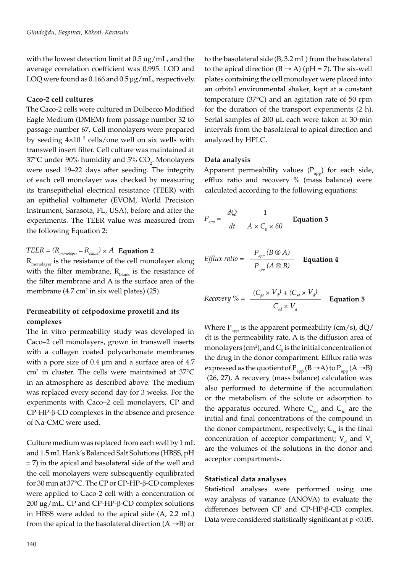with the lowest detection limit at  $0.5 \mu g/mL$ , and the average correlation coefficient was 0.995. LOD and LOQ were found as 0.166 and 0.5 µg/mL, respectively.

#### **Caco-2 cell cultures**

The Caco-2 cells were cultured in Dulbecco Modified Eagle Medium (DMEM) from passage number 32 to passage number 67. Cell monolayers were prepared by seeding  $4\times10^{-5}$  cells/one well on six wells with transwell insert filter. Cell culture was maintained at 37°C under 90% humidity and 5%  $CO_{2}$ . Monolayers were used 19–22 days after seeding. The integrity of each cell monolayer was checked by measuring its transepithelial electrical resistance (TEER) with an epithelial voltameter (EVOM, World Precision Instrument, Sarasota, FL, USA), before and after the experiments. The TEER value was measured from the following Equation 2:

## *TEER* =  $(R_{\text{monolayer}} - R_{\text{blank}}) \times A$  **Equation 2**

 $R_{\text{monolayer}}$  is the resistance of the cell monolayer along with the filter membrane,  $R_{\text{blank}}$  is the resistance of the filter membrane and A is the surface area of the membrane  $(4.7 \text{ cm}^2 \text{ in six well plates})$  (25).

## **Permeability of cefpodoxime proxetil and its complexes**

The in vitro permeability study was developed in Caco–2 cell monolayers, grown in transwell inserts with a collagen coated polycarbonate membranes with a pore size of 0.4 µm and a surface area of 4.7  $\text{cm}^2$  in cluster. The cells were maintained at 37 $\textdegree$ C in an atmosphere as described above. The medium was replaced every second day for 3 weeks. For the experiments with Caco–2 cell monolayers, CP and CP-HP-β-CD complexes in the absence and presence of Na-CMC were used.

Culture medium was replaced from each well by 1 mL and 1.5 mL Hank's Balanced Salt Solutions (HBSS, pH = 7) in the apical and basolateral side of the well and the cell monolayers were subsequently equilibrated for 30 min at 37°C. The CP or CP-HP-β-CD complexes were applied to Caco-2 cell with a concentration of 200 µg/mL. CP and CP-HP-β-CD complex solutions in HBSS were added to the apical side (A, 2.2 mL) from the apical to the basolateral direction  $(A \rightarrow B)$  or

to the basolateral side (B, 3.2 mL) from the basolateral to the apical direction  $(B \rightarrow A)$  (pH = 7). The six-well plates containing the cell monolayer were placed into an orbital environmental shaker, kept at a constant temperature (37°C) and an agitation rate of 50 rpm for the duration of the transport experiments (2 h). Serial samples of 200 µL each were taken at 30-min intervals from the basolateral to apical direction and analyzed by HPLC.

#### **Data analysis**

Apparent permeability values  $(P_{app})$  for each side, efflux ratio and recovery % (mass balance) were calculated according to the following equations:

$$
P_{app} = \frac{dQ}{dt} \frac{1}{A \times C_0 \times 60}
$$
 Equation 3

*Efflux ratio* = 
$$
\frac{P_{app} (B \otimes A)}{P_{app} (A \otimes B)}
$$
 Equation 4

$$
Recovery \% = \frac{(C_{fd} \times V_d) + (C_{fd} \times V_d)}{C_{od} \times V_d}
$$
 Equation 5

Where  $P_{app}$  is the apparent permeability (cm/s), dQ/ dt is the permeability rate, A is the diffusion area of monolayers (cm<sup>2</sup>), and  $C_{\text{o}}$  is the initial concentration of the drug in the donor compartment. Efflux ratio was expressed as the quotient of  $P_{app}$  (B  $\rightarrow$  A) to  $P_{app}$  (A  $\rightarrow$  B) (26, 27). A recovery (mass balance) calculation was also performed to determine if the accumulation or the metabolism of the solute or adsorption to the apparatus occured. Where  $C_{od}$  and  $C_{fd}$  are the initial and final concentrations of the compound in the donor compartment, respectively;  $C_{f_a}$  is the final concentration of acceptor compartment;  $V_d$  and  $V_a$ are the volumes of the solutions in the donor and acceptor compartments.

#### **Statistical data analyses**

Statistical analyses were performed using one way analysis of variance (ANOVA) to evaluate the differences between CP and CP-HP-β-CD complex. Data were considered statistically significant at p <0.05.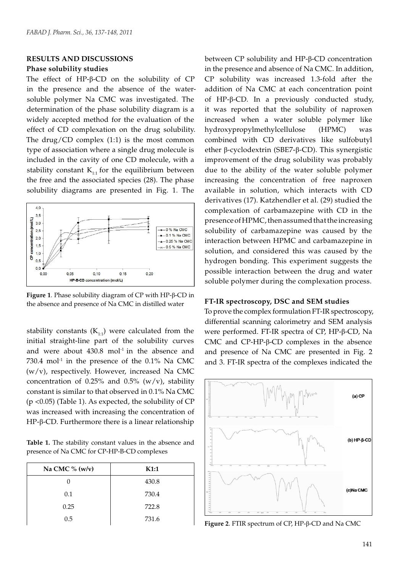#### **RESULTS AND DISCUSSIONS**

#### **Phase solubility studies**

The effect of HP-β-CD on the solubility of CP in the presence and the absence of the watersoluble polymer Na CMC was investigated. The determination of the phase solubility diagram is a widely accepted method for the evaluation of the effect of CD complexation on the drug solubility. The drug/CD complex  $(1:1)$  is the most common type of association where a single drug molecule is included in the cavity of one CD molecule, with a stability constant  $K_{1:1}$  for the equilibrium between the free and the associated species (28). The phase solubility diagrams are presented in Fig. 1. The



**Figure 1**. Phase solubility diagram of CP with HP-β-CD in the absence and presence of Na CMC in distilled water

stability constants  $(K_{1:1})$  were calculated from the initial straight-line part of the solubility curves and were about  $430.8$  mol<sup>-1</sup> in the absence and  $730.4$  mol<sup>-1</sup> in the presence of the  $0.1\%$  Na CMC (w/v), respectively. However, increased Na CMC concentration of 0.25% and 0.5%  $(w/v)$ , stability constant is similar to that observed in 0.1% Na CMC (p <0.05) (Table 1). As expected, the solubility of CP was increased with increasing the concentration of HP-β-CD. Furthermore there is a linear relationship

**Table 1.** The stability constant values in the absence and presence of Na CMC for CP-HP-B-CD complexes

| Na CMC $%(w/v)$ | K1:1  |
|-----------------|-------|
|                 | 430.8 |
| 0.1             | 730.4 |
| 0.25            | 722.8 |
| 0.5             | 731.6 |

between CP solubility and HP-β-CD concentration in the presence and absence of Na CMC. In addition, CP solubility was increased 1.3-fold after the addition of Na CMC at each concentration point of HP-β-CD. In a previously conducted study, it was reported that the solubility of naproxen increased when a water soluble polymer like hydroxypropylmethylcellulose (HPMC) was combined with CD derivatives like sulfobutyl ether β-cyclodextrin (SBE7-β-CD). This synergistic improvement of the drug solubility was probably due to the ability of the water soluble polymer increasing the concentration of free naproxen available in solution, which interacts with CD derivatives (17). Katzhendler et al. (29) studied the complexation of carbamazepine with CD in the presence of HPMC, then assumed that the increasing solubility of carbamazepine was caused by the interaction between HPMC and carbamazepine in solution, and considered this was caused by the hydrogen bonding. This experiment suggests the possible interaction between the drug and water soluble polymer during the complexation process.

#### **FT-IR spectroscopy, DSC and SEM studies**

To prove the complex formulation FT-IR spectroscopy, differential scanning calorimetry and SEM analysis were performed. FT-IR spectra of CP, HP-β-CD, Na CMC and CP-HP-β-CD complexes in the absence and presence of Na CMC are presented in Fig. 2 and 3. FT-IR spectra of the complexes indicated the



**Figure 2**. FTIR spectrum of CP, HP-β-CD and Na CMC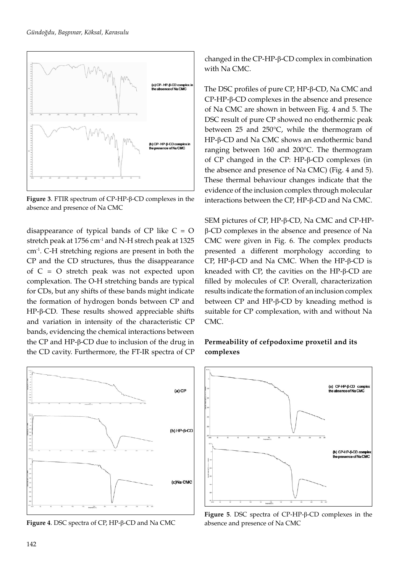

**Figure 3**. FTIR spectrum of CP-HP-β-CD complexes in the absence and presence of Na CMC

disappearance of typical bands of  $CP$  like  $C = O$ stretch peak at 1756 cm<sup>-1</sup> and N-H strech peak at 1325 cm-1. C-H stretching regions are present in both the CP and the CD structures, thus the disappearance of C = O stretch peak was not expected upon complexation. The O-H stretching bands are typical for CDs, but any shifts of these bands might indicate the formation of hydrogen bonds between CP and HP-β-CD. These results showed appreciable shifts and variation in intensity of the characteristic CP bands, evidencing the chemical interactions between the CP and HP-β-CD due to inclusion of the drug in the CD cavity. Furthermore, the FT-IR spectra of CP



**Figure 4**. DSC spectra of CP, HP-β-CD and Na CMC

changed in the CP-HP-β-CD complex in combination with Na CMC.

The DSC profiles of pure CP, HP-β-CD, Na CMC and CP-HP-β-CD complexes in the absence and presence of Na CMC are shown in between Fig. 4 and 5. The DSC result of pure CP showed no endothermic peak between 25 and 250°C, while the thermogram of HP-β-CD and Na CMC shows an endothermic band ranging between 160 and 200°C. The thermogram of CP changed in the CP: HP-β-CD complexes (in the absence and presence of Na CMC) (Fig. 4 and 5). These thermal behaviour changes indicate that the evidence of the inclusion complex through molecular interactions between the CP, HP-β-CD and Na CMC.

SEM pictures of CP, HP-β-CD, Na CMC and CP-HPβ-CD complexes in the absence and presence of Na CMC were given in Fig. 6. The complex products presented a different morphology according to CP, HP-β-CD and Na CMC. When the HP-β-CD is kneaded with CP, the cavities on the HP-β-CD are filled by molecules of CP. Overall, characterization results indicate the formation of an inclusion complex between CP and HP-β-CD by kneading method is suitable for CP complexation, with and without Na CMC.

## **Permeability of cefpodoxime proxetil and its complexes**



**Figure 5**. DSC spectra of CP-HP-β-CD complexes in the absence and presence of Na CMC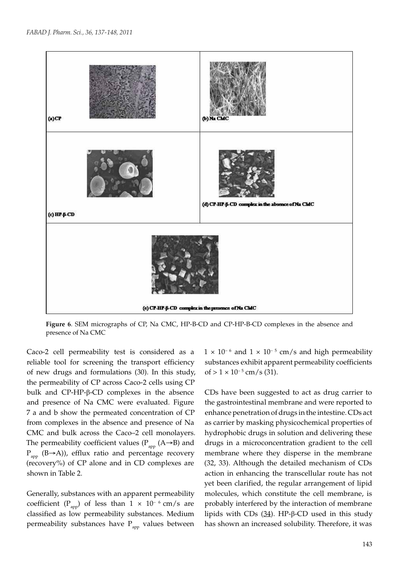

**Figure 6**. SEM micrographs of CP, Na CMC, HP-B-CD and CP-HP-B-CD complexes in the absence and presence of Na CMC

Caco-2 cell permeability test is considered as a reliable tool for screening the transport efficiency of new drugs and formulations (30). In this study, the permeability of CP across Caco-2 cells using CP bulk and CP-HP-β-CD complexes in the absence and presence of Na CMC were evaluated. Figure 7 a and b show the permeated concentration of CP from complexes in the absence and presence of Na CMC and bulk across the Caco–2 cell monolayers. The permeability coefficient values ( $P_{app}$  (A→B) and  $P_{app}$  (B→A)), efflux ratio and percentage recovery (recovery%) of CP alone and in CD complexes are shown in Table 2.

Generally, substances with an apparent permeability coefficient (P<sub>app</sub>) of less than 1 × 10<sup>-6</sup> cm/s are classified as low permeability substances. Medium permeability substances have  $P_{\text{app}}$  values between

 $1 \times 10^{-6}$  and  $1 \times 10^{-5}$  cm/s and high permeability substances exhibit apparent permeability coefficients of >  $1 \times 10^{-5}$  cm/s (31).

CDs have been suggested to act as drug carrier to the gastrointestinal membrane and were reported to enhance penetration of drugs in the intestine. CDs act as carrier by masking physicochemical properties of hydrophobic drugs in solution and delivering these drugs in a microconcentration gradient to the cell membrane where they disperse in the membrane (32, 33). Although the detailed mechanism of CDs action in enhancing the transcellular route has not yet been clarified, the regular arrangement of lipid molecules, which constitute the cell membrane, is probably interfered by the interaction of membrane lipids with CDs  $(34)$ . HP-β-CD used in this study has shown an increased solubility. Therefore, it was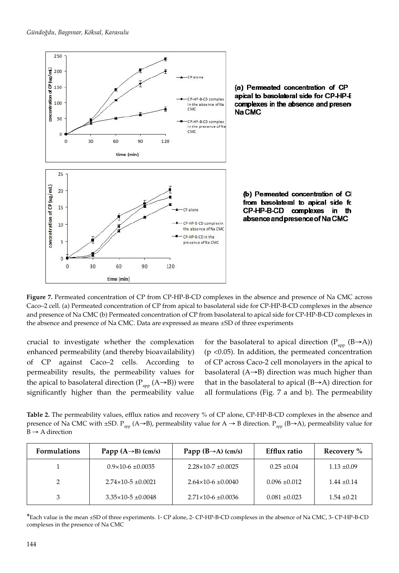

(a) Permeated concentration of CP apical to basolateral side for CP-HP-E complexes in the absence and present Na CMC

(b) Permeated concentration of CI from basolateral to apical side fo CP-HP-B-CD complexes  $\mathsf{in}$ th absence and presence of Na CMC

**Figure 7.** Permeated concentration of CP from CP-HP-B-CD complexes in the absence and presence of Na CMC across Caco–2 cell. (a) Permeated concentration of CP from apical to basolateral side for CP-HP-B-CD complexes in the absence and presence of Na CMC (b) Permeated concentration of CP from basolateral to apical side for CP-HP-B-CD complexes in the absence and presence of Na CMC. Data are expressed as means ±SD of three experiments

crucial to investigate whether the complexation enhanced permeability (and thereby bioavailability) of CP against Caco–2 cells. According to permeability results, the permeability values for the apical to basolateral direction ( $P_{app}$  (A→B)) were significantly higher than the permeability value

for the basolateral to apical direction ( $P_{app}$  (B $\rightarrow$ A)) (p <0.05). In addition, the permeated concentration of CP across Caco-2 cell monolayers in the apical to basolateral (A→B) direction was much higher than that in the basolateral to apical  $(B\rightarrow A)$  direction for all formulations (Fig. 7 a and b). The permeability

**Table 2.** The permeability values, efflux ratios and recovery % of CP alone, CP-HP-B-CD complexes in the absence and presence of Na CMC with ±SD.  $P_{app}$  (A→B), permeability value for A → B direction.  $P_{app}$  (B→A), permeability value for  $B \rightarrow A$  direction

| <b>Formulations</b> | Papp $(A \rightarrow B)$ (cm/s) | Papp $(B\rightarrow A)$ (cm/s)   | Efflux ratio      | Recovery %      |
|---------------------|---------------------------------|----------------------------------|-------------------|-----------------|
|                     | $0.9\times10-6$ ±0.0035         | $2.28\times10-7$ $\pm 0.0025$    | $0.25 \pm 0.04$   | $1.13 \pm 0.09$ |
|                     | $2.74 \times 10 - 5 \pm 0.0021$ | $2.64 \times 10^{-6} \pm 0.0040$ | $0.096 \pm 0.012$ | $1.44 \pm 0.14$ |
|                     | $3.35 \times 10 - 5 \pm 0.0048$ | $2.71 \times 10^{-6} \pm 0.0036$ | $0.081 \pm 0.023$ | $1.54 \pm 0.21$ |

\*Each value is the mean ±SD of three experiments. 1- CP alone, 2- CP-HP-B-CD complexes in the absence of Na CMC, 3- CP-HP-B-CD complexes in the presence of Na CMC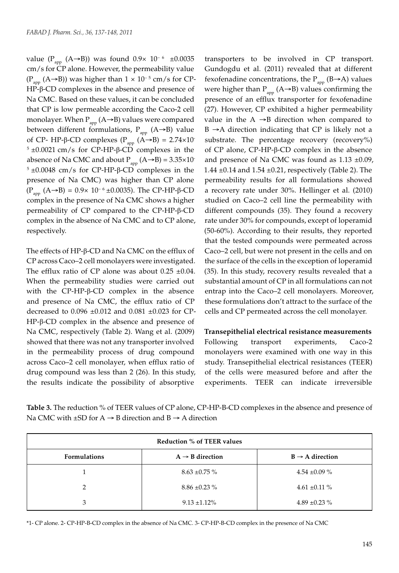value (P<sub>app</sub> (A→B)) was found 0.9× 10<sup>-6</sup> ±0.0035 cm/s for CP alone. However, the permeability value (P<sub>app</sub> (A→B)) was higher than  $1 \times 10^{-5}$  cm/s for CP-HP-β-CD complexes in the absence and presence of Na CMC. Based on these values, it can be concluded that CP is low permeable according the Caco-2 cell monolayer. When  $P_{app}$  (A→B) values were compared between different formulations,  $P_{\text{app}}$  (A→B) value of CP- HP-β-CD complexes ( $P_{app}$  (A→B) = 2.74×10<sup>-</sup>  $5 \pm 0.0021$  cm/s for CP-HP-β-CD complexes in the absence of Na CMC and about  $P_{\text{app}}(A\rightarrow B) = 3.35 \times 10^{-7}$  $5 \pm 0.0048$  cm/s for CP-HP-β-CD complexes in the presence of Na CMC) was higher than CP alone  $(P_{amp} (A→B) = 0.9× 10<sup>-6</sup> ±0.0035)$ . The CP-HP-β-CD complex in the presence of Na CMC shows a higher permeability of CP compared to the CP-HP-β-CD complex in the absence of Na CMC and to CP alone, respectively.

The effects of HP-β-CD and Na CMC on the efflux of CP across Caco–2 cell monolayers were investigated. The efflux ratio of CP alone was about  $0.25 \pm 0.04$ . When the permeability studies were carried out with the CP-HP-β-CD complex in the absence and presence of Na CMC, the efflux ratio of CP decreased to 0.096 ±0.012 and 0.081 ±0.023 for CP-HP-β-CD complex in the absence and presence of Na CMC, respectively (Table 2). Wang et al. (2009) showed that there was not any transporter involved in the permeability process of drug compound across Caco–2 cell monolayer, when efflux ratio of drug compound was less than 2 (26). In this study, the results indicate the possibility of absorptive

transporters to be involved in CP transport. Gundogdu et al. (2011) revealed that at different fexofenadine concentrations, the  $P_{app}$  (B $\rightarrow$ A) values were higher than  $P_{app}$  (A→B) values confirming the presence of an efflux transporter for fexofenadine (27). However, CP exhibited a higher permeability value in the  $A \rightarrow B$  direction when compared to  $B \rightarrow A$  direction indicating that CP is likely not a substrate. The percentage recovery (recovery%) of CP alone, CP-HP-β-CD complex in the absence and presence of Na CMC was found as  $1.13 \pm 0.09$ , 1.44  $\pm$ 0.14 and 1.54  $\pm$ 0.21, respectively (Table 2). The permeability results for all formulations showed a recovery rate under 30%. Hellinger et al. (2010) studied on Caco–2 cell line the permeability with different compounds (35). They found a recovery rate under 30% for compounds, except of loperamid (50-60%). According to their results, they reported that the tested compounds were permeated across Caco–2 cell, but were not present in the cells and on the surface of the cells in the exception of loperamid (35). In this study, recovery results revealed that a substantial amount of CP in all formulations can not entrap into the Caco–2 cell monolayers. Moreover, these formulations don't attract to the surface of the cells and CP permeated across the cell monolayer.

**Transepithelial electrical resistance measurements** Following transport experiments, Caco-2 monolayers were examined with one way in this study. Transepithelial electrical resistances (TEER) of the cells were measured before and after the experiments. TEER can indicate irreversible

**Table 3.** The reduction % of TEER values of CP alone, CP-HP-B-CD complexes in the absence and presence of Na CMC with  $\pm$ SD for A  $\rightarrow$  B direction and B  $\rightarrow$  A direction

| <b>Reduction % of TEER values</b> |                             |                             |  |
|-----------------------------------|-----------------------------|-----------------------------|--|
| <b>Formulations</b>               | $A \rightarrow B$ direction | $B \rightarrow A$ direction |  |
|                                   | $8.63 \pm 0.75 \%$          | 4.54 $\pm 0.09$ %           |  |
| C                                 | $8.86 \pm 0.23 \%$          | 4.61 $\pm 0.11$ %           |  |
| 3                                 | $9.13 \pm 1.12\%$           | 4.89 $\pm$ 0.23 %           |  |

\*1- CP alone. 2- CP-HP-B-CD complex in the absence of Na CMC. 3- CP-HP-B-CD complex in the presence of Na CMC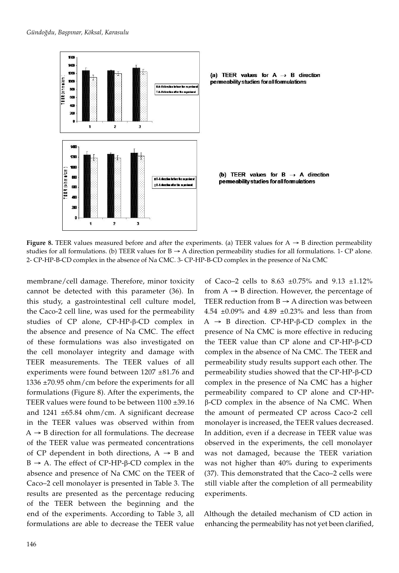

(a) TEER values for  $A \rightarrow B$  direction permeability studies for all formulations

(b) TEER values for  $B \rightarrow A$  direction permeability studies for all formulations

**Figure 8.** TEER values measured before and after the experiments. (a) TEER values for  $A \rightarrow B$  direction permeability studies for all formulations. (b) TEER values for  $B \rightarrow A$  direction permeability studies for all formulations. 1- CP alone. 2- CP-HP-B-CD complex in the absence of Na CMC. 3- CP-HP-B-CD complex in the presence of Na CMC

membrane/cell damage. Therefore, minor toxicity cannot be detected with this parameter (36). In this study, a gastrointestinal cell culture model, the Caco-2 cell line, was used for the permeability studies of CP alone, CP-HP-β-CD complex in the absence and presence of Na CMC. The effect of these formulations was also investigated on the cell monolayer integrity and damage with TEER measurements. The TEER values of all experiments were found between 1207 ±81.76 and 1336 ±70.95 ohm/cm before the experiments for all formulations (Figure 8). After the experiments, the TEER values were found to be between 1100 ±39.16 and 1241 ±65.84 ohm/cm. A significant decrease in the TEER values was observed within from  $A \rightarrow B$  direction for all formulations. The decrease of the TEER value was permeated concentrations of CP dependent in both directions,  $A \rightarrow B$  and B → A. The effect of CP-HP-β-CD complex in the absence and presence of Na CMC on the TEER of Caco–2 cell monolayer is presented in Table 3. The results are presented as the percentage reducing of the TEER between the beginning and the end of the experiments. According to Table 3, all formulations are able to decrease the TEER value

of Caco–2 cells to 8.63  $\pm 0.75$ % and 9.13  $\pm 1.12$ % from  $A \rightarrow B$  direction. However, the percentage of TEER reduction from  $B \rightarrow A$  direction was between 4.54  $\pm$ 0.09% and 4.89  $\pm$ 0.23% and less than from A → B direction. CP-HP-β-CD complex in the presence of Na CMC is more effective in reducing the TEER value than CP alone and CP-HP-β-CD complex in the absence of Na CMC. The TEER and permeability study results support each other. The permeability studies showed that the CP-HP-β-CD complex in the presence of Na CMC has a higher permeability compared to CP alone and CP-HPβ-CD complex in the absence of Na CMC. When the amount of permeated CP across Caco-2 cell monolayer is increased, the TEER values decreased. In addition, even if a decrease in TEER value was observed in the experiments, the cell monolayer was not damaged, because the TEER variation was not higher than 40% during to experiments (37). This demonstrated that the Caco–2 cells were still viable after the completion of all permeability experiments.

Although the detailed mechanism of CD action in enhancing the permeability has not yet been clarified,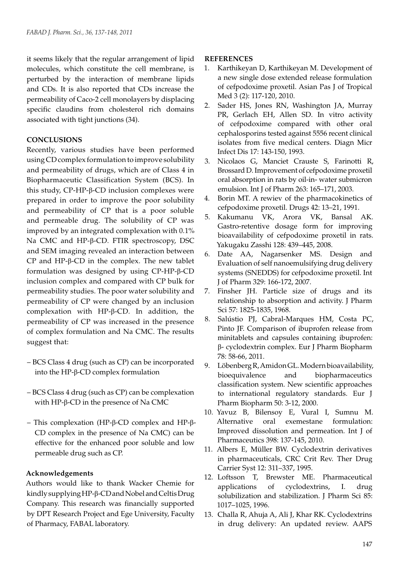it seems likely that the regular arrangement of lipid molecules, which constitute the cell membrane, is perturbed by the interaction of membrane lipids and CDs. It is also reported that CDs increase the permeability of Caco-2 cell monolayers by displacing specific claudins from cholesterol rich domains associated with tight junctions (34).

## **CONCLUSIONS**

Recently, various studies have been performed using CD complex formulation to improve solubility and permeability of drugs, which are of Class 4 in Biopharmaceutic Classification System (BCS). In this study, CP-HP-β-CD inclusion complexes were prepared in order to improve the poor solubility and permeability of CP that is a poor soluble and permeable drug. The solubility of CP was improved by an integrated complexation with 0.1% Na CMC and HP-β-CD. FTIR spectroscopy, DSC and SEM imaging revealed an interaction between CP and HP-β-CD in the complex. The new tablet formulation was designed by using CP-HP-β-CD inclusion complex and compared with CP bulk for permeability studies. The poor water solubility and permeability of CP were changed by an inclusion complexation with HP-β-CD. In addition, the permeability of CP was increased in the presence of complex formulation and Na CMC. The results suggest that:

- BCS Class 4 drug (such as CP) can be incorporated into the HP-β-CD complex formulation
- BCS Class 4 drug (such as CP) can be complexation with HP-β-CD in the presence of Na CMC
- This complexation (HP-β-CD complex and HP-β-CD complex in the presence of Na CMC) can be effective for the enhanced poor soluble and low permeable drug such as CP.

## **Acknowledgements**

Authors would like to thank Wacker Chemie for kindly supplying HP-β-CD and Nobel and Celtis Drug Company. This research was financially supported by DPT Research Project and Ege University, Faculty of Pharmacy, FABAL laboratory.

## **REFERENCES**

- 1. Karthikeyan D, Karthikeyan M. Development of a new single dose extended release formulation of cefpodoxime proxetil. Asian Pas J of Tropical Med 3 (2): 117-120, 2010.
- 2. Sader HS, Jones RN, Washington JA, Murray PR, Gerlach EH, Allen SD. In vitro activity of cefpodoxime compared with other oral cephalosporins tested against 5556 recent clinical isolates from five medical centers. Diagn Micr Infect Dis 17: 143-150, 1993.
- 3. Nicolaos G, Manciet Crauste S, Farinotti R, Brossard D. Improvement of cefpodoxime proxetil oral absorption in rats by oil-in- water submicron emulsion. Int J of Pharm 263: 165–171, 2003.
- 4. Borin MT. A rewiev of the pharmacokinetics of cefpodoxime proxetil. Drugs 42: 13–21, 1991.
- 5. Kakumanu VK, Arora VK, Bansal AK. Gastro-retentive dosage form for improving bioavailability of cefpodoxime proxetil in rats. Yakugaku Zasshi 128: 439–445, 2008.
- 6. Date AA, Nagarsenker MS. Design and Evaluation of self nanoemulsifying drug delivery systems (SNEDDS) for cefpodoxime proxetil. Int J of Pharm 329: 166-172, 2007.
- 7. Finsher JH. Particle size of drugs and its relationship to absorption and activity. J Pharm Sci 57: 1825-1835, 1968.
- 8. Salústio PJ, Cabral-Marques HM, Costa PC, Pinto JF. Comparison of ibuprofen release from minitablets and capsules containing ibuprofen: β- cyclodextrin complex. Eur J Pharm Biopharm 78: 58-66, 2011.
- 9. Löbenberg R, Amidon GL. Modern bioavailability, bioequivalence and biopharmaceutics classification system. New scientific approaches to international regulatory standards. Eur J Pharm Biopharm 50: 3-12, 2000.
- 10. Yavuz B, Bilensoy E, Vural I, Sumnu M. Alternative oral exemestane formulation: Improved dissolution and permeation. Int J of Pharmaceutics 398: 137-145, 2010.
- 11. Albers E, Müller BW. Cyclodextrin derivatives in pharmaceuticals, CRC Crit Rev. Ther Drug Carrier Syst 12: 311–337, 1995.
- 12. Loftsson T, Brewster ME. Pharmaceutical applications of cyclodextrins, I. drug solubilization and stabilization. J Pharm Sci 85: 1017–1025, 1996.
- 13. Challa R, Ahuja A, Ali J, Khar RK. Cyclodextrins in drug delivery: An updated review. AAPS